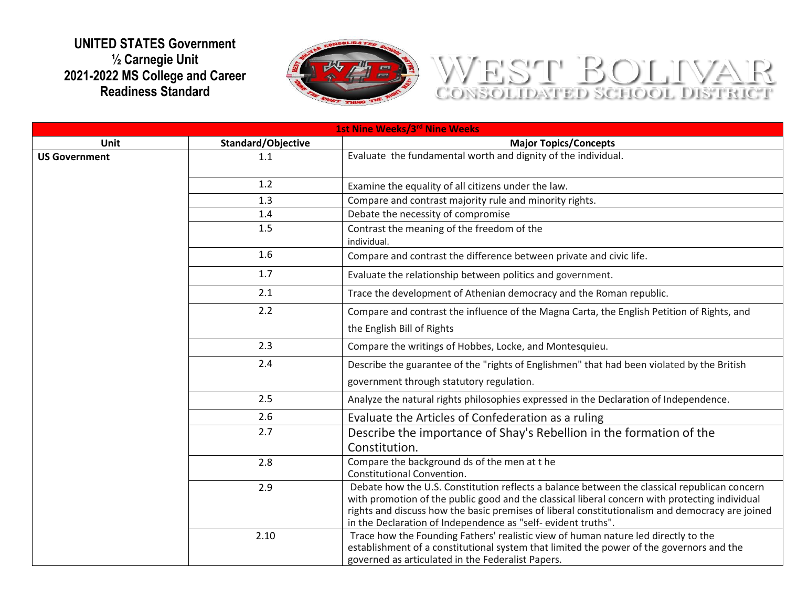## **UNITED STATES Government ½ Carnegie Unit 2021-2022 MS College and Career Readiness Standard**



## WEST BOLTVAR

| 1st Nine Weeks/3rd Nine Weeks |                    |                                                                                                                                                                                                                                                                                                                                                                   |  |  |
|-------------------------------|--------------------|-------------------------------------------------------------------------------------------------------------------------------------------------------------------------------------------------------------------------------------------------------------------------------------------------------------------------------------------------------------------|--|--|
| Unit                          | Standard/Objective | <b>Major Topics/Concepts</b>                                                                                                                                                                                                                                                                                                                                      |  |  |
| <b>US Government</b>          | 1.1                | Evaluate the fundamental worth and dignity of the individual.                                                                                                                                                                                                                                                                                                     |  |  |
|                               | 1.2                | Examine the equality of all citizens under the law.                                                                                                                                                                                                                                                                                                               |  |  |
|                               | 1.3                | Compare and contrast majority rule and minority rights.                                                                                                                                                                                                                                                                                                           |  |  |
|                               | 1.4                | Debate the necessity of compromise                                                                                                                                                                                                                                                                                                                                |  |  |
|                               | 1.5                | Contrast the meaning of the freedom of the<br>individual.                                                                                                                                                                                                                                                                                                         |  |  |
|                               | 1.6                | Compare and contrast the difference between private and civic life.                                                                                                                                                                                                                                                                                               |  |  |
|                               | 1.7                | Evaluate the relationship between politics and government.                                                                                                                                                                                                                                                                                                        |  |  |
|                               | 2.1                | Trace the development of Athenian democracy and the Roman republic.                                                                                                                                                                                                                                                                                               |  |  |
|                               | 2.2                | Compare and contrast the influence of the Magna Carta, the English Petition of Rights, and                                                                                                                                                                                                                                                                        |  |  |
|                               |                    | the English Bill of Rights                                                                                                                                                                                                                                                                                                                                        |  |  |
|                               | 2.3                | Compare the writings of Hobbes, Locke, and Montesquieu.                                                                                                                                                                                                                                                                                                           |  |  |
|                               | 2.4                | Describe the guarantee of the "rights of Englishmen" that had been violated by the British                                                                                                                                                                                                                                                                        |  |  |
|                               |                    | government through statutory regulation.                                                                                                                                                                                                                                                                                                                          |  |  |
|                               | 2.5                | Analyze the natural rights philosophies expressed in the Declaration of Independence.                                                                                                                                                                                                                                                                             |  |  |
|                               | 2.6                | Evaluate the Articles of Confederation as a ruling                                                                                                                                                                                                                                                                                                                |  |  |
|                               | 2.7                | Describe the importance of Shay's Rebellion in the formation of the<br>Constitution.                                                                                                                                                                                                                                                                              |  |  |
|                               | 2.8                | Compare the background ds of the men at the<br>Constitutional Convention.                                                                                                                                                                                                                                                                                         |  |  |
|                               | 2.9                | Debate how the U.S. Constitution reflects a balance between the classical republican concern<br>with promotion of the public good and the classical liberal concern with protecting individual<br>rights and discuss how the basic premises of liberal constitutionalism and democracy are joined<br>in the Declaration of Independence as "self-evident truths". |  |  |
|                               | 2.10               | Trace how the Founding Fathers' realistic view of human nature led directly to the<br>establishment of a constitutional system that limited the power of the governors and the<br>governed as articulated in the Federalist Papers.                                                                                                                               |  |  |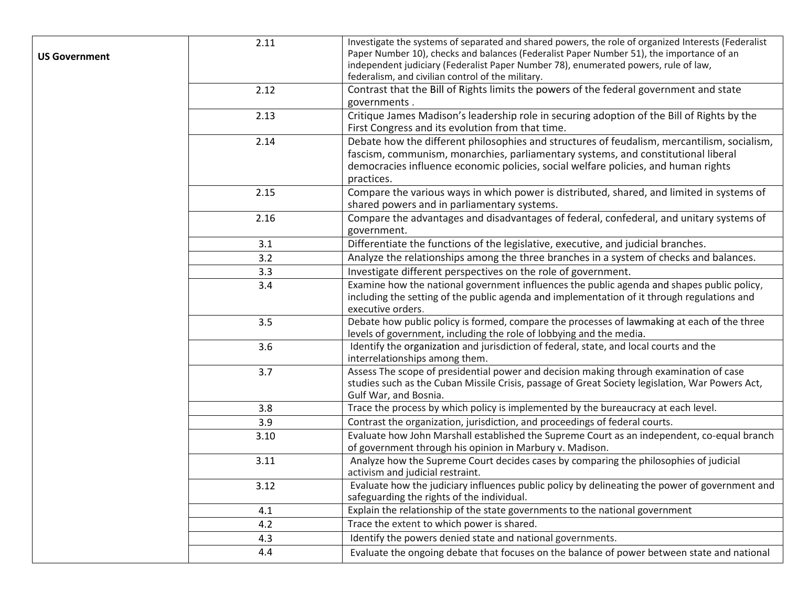| <b>US Government</b> | 2.11 | Investigate the systems of separated and shared powers, the role of organized Interests (Federalist<br>Paper Number 10), checks and balances (Federalist Paper Number 51), the importance of an<br>independent judiciary (Federalist Paper Number 78), enumerated powers, rule of law,<br>federalism, and civilian control of the military. |
|----------------------|------|---------------------------------------------------------------------------------------------------------------------------------------------------------------------------------------------------------------------------------------------------------------------------------------------------------------------------------------------|
|                      | 2.12 | Contrast that the Bill of Rights limits the powers of the federal government and state<br>governments.                                                                                                                                                                                                                                      |
|                      | 2.13 | Critique James Madison's leadership role in securing adoption of the Bill of Rights by the<br>First Congress and its evolution from that time.                                                                                                                                                                                              |
|                      | 2.14 | Debate how the different philosophies and structures of feudalism, mercantilism, socialism,<br>fascism, communism, monarchies, parliamentary systems, and constitutional liberal<br>democracies influence economic policies, social welfare policies, and human rights<br>practices.                                                        |
|                      | 2.15 | Compare the various ways in which power is distributed, shared, and limited in systems of<br>shared powers and in parliamentary systems.                                                                                                                                                                                                    |
|                      | 2.16 | Compare the advantages and disadvantages of federal, confederal, and unitary systems of<br>government.                                                                                                                                                                                                                                      |
|                      | 3.1  | Differentiate the functions of the legislative, executive, and judicial branches.                                                                                                                                                                                                                                                           |
|                      | 3.2  | Analyze the relationships among the three branches in a system of checks and balances.                                                                                                                                                                                                                                                      |
|                      | 3.3  | Investigate different perspectives on the role of government.                                                                                                                                                                                                                                                                               |
|                      | 3.4  | Examine how the national government influences the public agenda and shapes public policy,<br>including the setting of the public agenda and implementation of it through regulations and<br>executive orders.                                                                                                                              |
|                      | 3.5  | Debate how public policy is formed, compare the processes of lawmaking at each of the three<br>levels of government, including the role of lobbying and the media.                                                                                                                                                                          |
|                      | 3.6  | Identify the organization and jurisdiction of federal, state, and local courts and the<br>interrelationships among them.                                                                                                                                                                                                                    |
|                      | 3.7  | Assess The scope of presidential power and decision making through examination of case<br>studies such as the Cuban Missile Crisis, passage of Great Society legislation, War Powers Act,<br>Gulf War, and Bosnia.                                                                                                                          |
|                      | 3.8  | Trace the process by which policy is implemented by the bureaucracy at each level.                                                                                                                                                                                                                                                          |
|                      | 3.9  | Contrast the organization, jurisdiction, and proceedings of federal courts.                                                                                                                                                                                                                                                                 |
|                      | 3.10 | Evaluate how John Marshall established the Supreme Court as an independent, co-equal branch<br>of government through his opinion in Marbury v. Madison.                                                                                                                                                                                     |
|                      | 3.11 | Analyze how the Supreme Court decides cases by comparing the philosophies of judicial<br>activism and judicial restraint.                                                                                                                                                                                                                   |
|                      | 3.12 | Evaluate how the judiciary influences public policy by delineating the power of government and<br>safeguarding the rights of the individual.                                                                                                                                                                                                |
|                      | 4.1  | Explain the relationship of the state governments to the national government                                                                                                                                                                                                                                                                |
|                      | 4.2  | Trace the extent to which power is shared.                                                                                                                                                                                                                                                                                                  |
|                      | 4.3  | Identify the powers denied state and national governments.                                                                                                                                                                                                                                                                                  |
|                      | 4.4  | Evaluate the ongoing debate that focuses on the balance of power between state and national                                                                                                                                                                                                                                                 |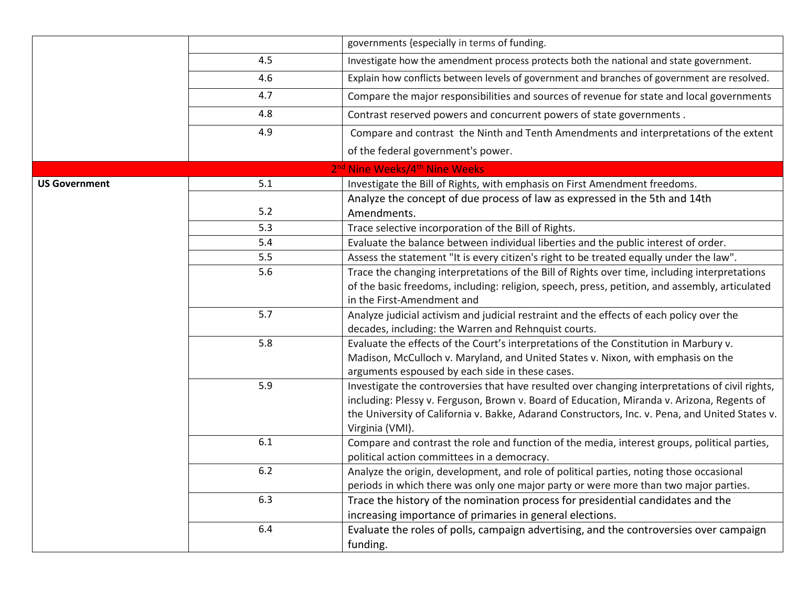|                      |         | governments {especially in terms of funding.                                                                       |
|----------------------|---------|--------------------------------------------------------------------------------------------------------------------|
|                      | 4.5     | Investigate how the amendment process protects both the national and state government.                             |
|                      | 4.6     | Explain how conflicts between levels of government and branches of government are resolved.                        |
|                      | 4.7     | Compare the major responsibilities and sources of revenue for state and local governments                          |
|                      | 4.8     | Contrast reserved powers and concurrent powers of state governments.                                               |
|                      | 4.9     | Compare and contrast the Ninth and Tenth Amendments and interpretations of the extent                              |
|                      |         | of the federal government's power.                                                                                 |
|                      |         | 2 <sup>nd</sup> Nine Weeks/4 <sup>th</sup> Nine Weeks                                                              |
| <b>US Government</b> | 5.1     | Investigate the Bill of Rights, with emphasis on First Amendment freedoms.                                         |
|                      |         | Analyze the concept of due process of law as expressed in the 5th and 14th                                         |
|                      | 5.2     | Amendments.                                                                                                        |
|                      | 5.3     | Trace selective incorporation of the Bill of Rights.                                                               |
|                      | 5.4     | Evaluate the balance between individual liberties and the public interest of order.                                |
|                      | 5.5     | Assess the statement "It is every citizen's right to be treated equally under the law".                            |
|                      | 5.6     | Trace the changing interpretations of the Bill of Rights over time, including interpretations                      |
|                      |         | of the basic freedoms, including: religion, speech, press, petition, and assembly, articulated                     |
|                      |         | in the First-Amendment and                                                                                         |
|                      | 5.7     | Analyze judicial activism and judicial restraint and the effects of each policy over the                           |
|                      |         | decades, including: the Warren and Rehnquist courts.                                                               |
|                      | 5.8     | Evaluate the effects of the Court's interpretations of the Constitution in Marbury v.                              |
|                      |         | Madison, McCulloch v. Maryland, and United States v. Nixon, with emphasis on the                                   |
|                      |         | arguments espoused by each side in these cases.                                                                    |
|                      | 5.9     | Investigate the controversies that have resulted over changing interpretations of civil rights,                    |
|                      |         | including: Plessy v. Ferguson, Brown v. Board of Education, Miranda v. Arizona, Regents of                         |
|                      |         | the University of California v. Bakke, Adarand Constructors, Inc. v. Pena, and United States v.<br>Virginia (VMI). |
|                      | 6.1     | Compare and contrast the role and function of the media, interest groups, political parties,                       |
|                      |         | political action committees in a democracy.                                                                        |
|                      | $6.2\,$ | Analyze the origin, development, and role of political parties, noting those occasional                            |
|                      |         | periods in which there was only one major party or were more than two major parties.                               |
|                      | 6.3     | Trace the history of the nomination process for presidential candidates and the                                    |
|                      |         | increasing importance of primaries in general elections.                                                           |
|                      | 6.4     | Evaluate the roles of polls, campaign advertising, and the controversies over campaign                             |
|                      |         | funding.                                                                                                           |